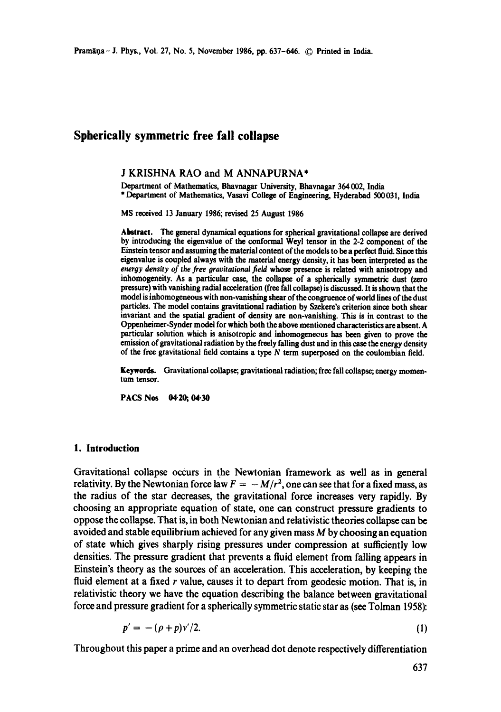# **Spherically symmetric free fall collapse**

#### J KRISHNA RAO and M ANNAPURNA\*

Department of Mathematics, Bhavnagar University, Bhavnagar 364002, India \* Department of Mathematics, Vasavi College of Engineering, Hyderabad 500031, India

MS received 13 January 1986; revised 25 August 1986

Abstract. The general dynamical equations for spherical gravitational collapse are derived by introducing the eigenvalue of the conformal Weyl tensor in the 2-2 component of the Einstein tensor and assuming the material content of the models to be a perfect fluid. Since this eigenvalue is coupled always with the material energy density, it has been interpreted as the *energy density of the free gravitational field* whose presence is related with anisotropy and inhomogeneity. As a particular case, the collapse of a spherically symmetric dust (zero pressure) with vanishing radial acceleration (free fall collapse) is discussed. It is shown that the model is inhomogeneous with non-vanishing shear of the congruence of world lines of the dust particles. The model contains gravitational radiation by Szekere's criterion since both shear invariant and the spatial gradient of density are non-vanishing. This **is in** contrast to the Oppenheimer-Synder model for which both the above mentioned characteristics are absent. A particular solution which is anisotropic and inhomogeneous has been given to prove the emission of gravitational radiation by the freely falling dust and in this case the energy density of the free gravitational field contains a type  $N$  term superposed on the coulombian field.

Keywerds. Gravitational collapse; gravitational radiation; free fall collapse; energy **momentum** tensor.

PACS Nos 04.20; 04.30

### **1. Introduction**

Gravitational collapse occurs in the Newtonian framework as well as in general relativity. By the Newtonian force law  $F = -M/r^2$ , one can see that for a fixed mass, as the radius of the star decreases, the gravitational force increases very rapidly. By choosing an appropriate equation of state, one can construct pressure gradients to oppose the collapse. That is, in both Newtonian and rehtivistic theories collapse can be avoided and stable equilibrium achieved for any given mass  $M$  by choosing an equation of state which gives sharply rising pressures under compression at sufficiently low densities. The pressure gradient that prevents a fluid element from falling appears in Einstein's theory as the sources of an acceleration. This acceleration, by keeping the fluid element at a fixed  $r$  value, causes it to depart from geodesic motion. That is, in relativistic theory we have the equation describing the balance between gravitational force and pressure gradient for a spherically symmetric static star as (see Tolman 1958):

$$
p' = -(\rho + p)v'/2. \tag{1}
$$

Throughout this paper a prime and an overhead dot denote respectively differentiation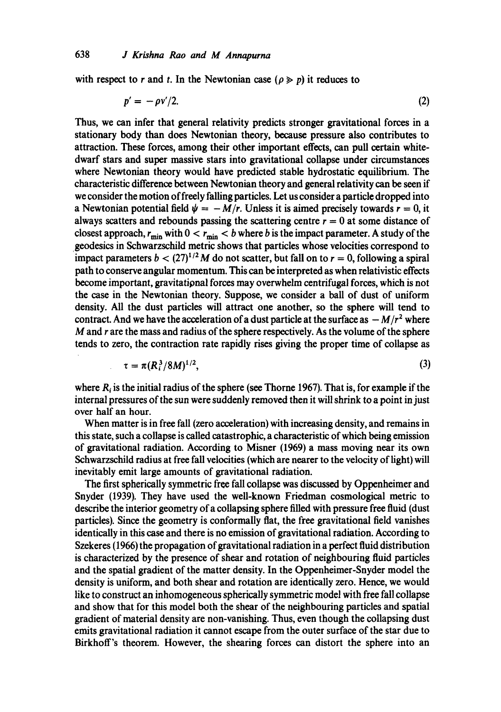with respect to r and t. In the Newtonian case ( $\rho \gg p$ ) it reduces to

$$
p' = -\rho v'/2. \tag{2}
$$

Thus, we can infer that general relativity predicts stronger gravitational forces in a stationary body than does Newtonian theory, because pressure also contributes to attraction. These forces, among their other important effects, can pull certain whitedwarf stars and super massive stars into gravitational collapse under circumstances where Newtonian theory would have predicted stable hydrostatic equilibrium. The characteristic difference between Newtonian theory and general relativity can be seen if we consider the motion of freely falling particles. Let us consider a particle dropped into a Newtonian potential field  $\psi = -M/r$ . Unless it is aimed precisely towards  $r = 0$ , it always scatters and rebounds passing the scattering centre  $r = 0$  at some distance of closest approach,  $r_{\text{min}}$  with  $0 < r_{\text{min}} < b$  where b is the impact parameter. A study of the ,geodesics in Sehwarzschild metric shows that particles whose velocities correspond to impact parameters  $b < (27)^{1/2}M$  do not scatter, but fall on to  $r = 0$ , following a spiral path to conserve angular momentum. This can be interpreted as when relativistic effects become important, gravitational forces may overwhelm centrifugal forces, which is not the ease in the Newtonian theory. Suppose, we consider a ball of dust of uniform density. All the dust particles will attract one another, so the sphere will tend to contract. And we have the acceleration of a dust particle at the surface as  $-M/r^2$  where  $M$  and  $r$  are the mass and radius of the sphere respectively. As the volume of the sphere tends to zero, the contraction rate rapidly rises giving the proper time of collapse as

$$
\tau = \pi (R_i^3/8M)^{1/2}, \tag{3}
$$

where  $R_i$  is the initial radius of the sphere (see Thorne 1967). That is, for example if the internal pressures of the sun were suddenly removed then it will shrink to a point in just over half an hour.

When matter is in free fall (zero acceleration) with increasing density, and remains in this state, such a collapse is called catastrophic, a characteristic of which being emission of gravitational radiation. According to Misner (1969) a mass moving near its own Schwarzschild radius at free fall velocities (which are nearer to the velocity of light) will inevitably emit large amounts of gravitational radiation.

The first spherically symmetric free fall collapse was discussed by Oppenheimer and Snyder (1939). They have used the well-known Friedman cosmological metric to describe the interior geometry of a collapsing sphere filled with pressure free fluid (dust particles). Since the geometry is conformally flat, the free gravitational field vanishes identically in this case and there is no emission of gravitational radiation. According to Szekeres (1966) the propagation of gravitational radiation in a perfect fluid distribution is characterized by the presence of shear and rotation of neighbouring fluid particles and the spatial gradient of the matter density. In the Oppenheimer-Snyder model the density is uniform, and both shear and rotation are identically zero. Hence, we would like to construct an inhomogeneous spherically symmetric model with free fall collapse and show that for this model both the shear of the neighbouring particles and spatial gradient of material density are non-vanishing. Thus, even though the collapsing dust emits gravitational radiation it cannot escape from the outer surface of the star due to Birkhoff's theorem. However, the shearing forces can distort the sphere into an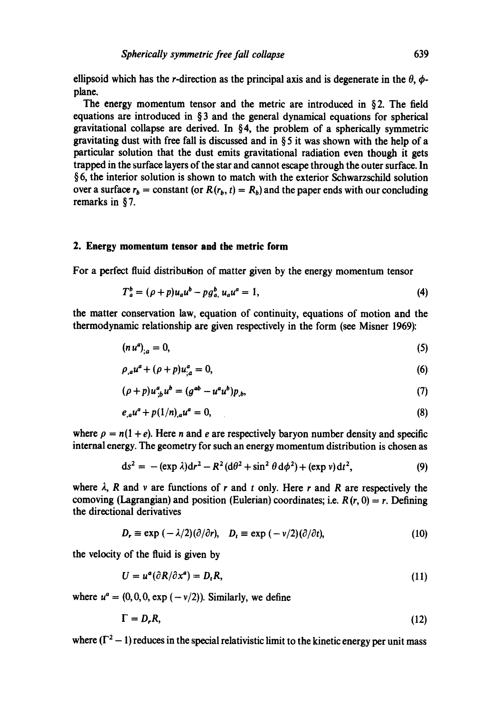ellipsoid which has the r-direction as the principal axis and is degenerate in the  $\theta$ ,  $\phi$ plane.

The energy momentum tensor and the metric are introduced in § 2. The field equations are introduced in § 3 and the general dynamical equations for spherical gravitational collapse are derived. In §4, the problem of a spherically symmetric gravitating dust with free fall is discussed and in § 5 it was shown with the help of a particular solution that the dust emits gravitational radiation even though it gets trapped in the surface layers of the star and cannot escape through the outer surface. In § 6, the interior solution is shown to match with the exterior Schwarzschild solution over a surface  $r_b$  = constant (or  $R(r_b, t) = R_b$ ) and the paper ends with our concluding remarks in § 7.

#### **2. Energy momentum tensor and the metric form**

For a perfect fluid distribution of matter given by the energy momentum tensor

$$
T_a^b = (\rho + p)u_a u^b - p g_a^b, u_a u^a = 1,
$$
\n(4)

the matter conservation law, equation of continuity, equations of motion and the thermodynamic relationship are given respectively in the form (see Misner 1969):

$$
(n\,u^a)_{\,a}=0,\tag{5}
$$

$$
\rho_{,a}u^a + (\rho + p)u^a_{,a} = 0,\t\t(6)
$$

$$
(\rho + p)u_{;b}^{a}u^{b} = (g^{ab} - u^{a}u^{b})p_{,b}, \qquad (7)
$$

$$
e_{,a}u^{a} + p(1/n)_{,a}u^{a} = 0, \tag{8}
$$

where  $\rho = n(1 + e)$ . Here *n* and *e* are respectively baryon number density and specific internal energy. The geometry for such an energy momentum distribution is chosen as

$$
ds^{2} = -(\exp \lambda)dr^{2} - R^{2}(d\theta^{2} + \sin^{2} \theta d\phi^{2}) + (\exp v)dt^{2},
$$
\n(9)

where  $\lambda$ , R and v are functions of r and t only. Here r and R are respectively the comoving (Lagrangian) and position (Eulerian) coordinates; i.e.  $R(r, 0) = r$ . Defining the directional derivatives

$$
D_r \equiv \exp\left(-\lambda/2\right)(\partial/\partial r), \quad D_t \equiv \exp\left(-\nu/2\right)(\partial/\partial t), \tag{10}
$$

the velocity of the fluid is given by

$$
U = u^a(\partial R/\partial x^a) = D_t R, \qquad (11)
$$

where  $u^a = (0, 0, 0, \exp(-\nu/2))$ . Similarly, we define

$$
\Gamma = D_r R, \tag{12}
$$

where  $(\Gamma^2 - 1)$  reduces in the special relativistic limit to the kinetic energy per unit mass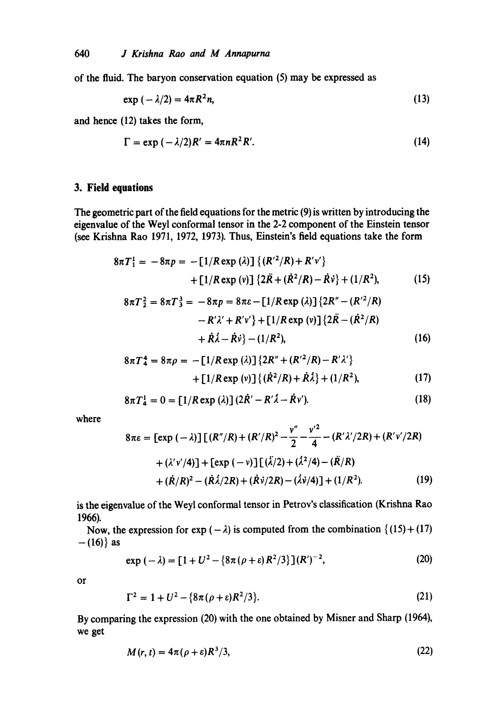of the fluid. The baryon conservation equation (5) may be expressed as

$$
\exp\left(-\lambda/2\right) = 4\pi R^2 n,\tag{13}
$$

and hence (12) takes the form,

$$
\Gamma = \exp\left(-\lambda/2\right)R' = 4\pi nR^2R'.
$$
 (14)

## **3. Field equations**

The geometric part of the field equations for the metric (9) is written by introducing the eigenvalue of the Weyl conformal tensor in the 2-2 component of the Einstein tensor (see Krishna Rao 1971, 1972, 1973). Thus, Einstein's field equations take the form

$$
8\pi T_1^1 = -8\pi p = -[1/R \exp(\lambda)] \{ (R'^2/R) + R'v' \} + [1/R \exp(v)] \{ 2\ddot{R} + (\dot{R}^2/R) - \dot{R}v \} + (1/R^2), \qquad (15)
$$

$$
8\pi T_2^2 = 8\pi T_3^3 = -8\pi p = 8\pi \varepsilon - [1/R \exp(\lambda)] \{2R'' - (R'^2/R) - R'\lambda' + R'\nu'\} + [1/R \exp(\nu)] \{2R\tilde{R} - (R^2/R) + \tilde{R}\lambda - \tilde{R}\nu\} - (1/R^2),
$$
\n(16)

$$
8\pi T_4^4 = 8\pi \rho = -[1/R \exp(\lambda)] \{2R'' + (R'^2/R) - R'\lambda'\} + [1/R \exp(\nu)] \{(\dot{R}^2/R) + \dot{R}\dot{\lambda}\} + (1/R^2),
$$
 (17)

$$
8\pi T_4^1 = 0 = \left[1/R \exp\left(\lambda\right)\right] \left(2\dot{R}' - R'\dot{\lambda} - \dot{R}v'\right).
$$
 (18)

where

$$
8\pi\varepsilon = \left[\exp\left(-\lambda\right)\right] \left[\left(R''/R\right) + \left(R'/R\right)^2 - \frac{v''}{2} - \frac{v'^2}{4} - \left(R'\lambda'/2R\right) + \left(R'v'/2R\right) + \left(\lambda'v'/4\right)\right] + \left[\exp\left(-v\right)\right] \left[\left(\lambda/2\right) + \left(\lambda^2/4\right) - \left(\tilde{R}/R\right) + \left(\tilde{R}/R\right)^2 - \left(\tilde{R}\lambda/2R\right) + \left(\tilde{R}v/2R\right) - \left(\lambda v/4\right)\right] + \left(1/R^2\right). \tag{19}
$$

is the eigenvalue of the Weyl conformal tensor in Petrov's classification (Krishna Rao 1966).

Now, the expression for exp ( $-\lambda$ ) is computed from the combination { (15) + (17)  $- (16)$ } as

$$
\exp\left(-\lambda\right) = \left[1 + U^2 - \left\{8\pi\left(\rho + \varepsilon\right)R^2/3\right\}\right](R')^{-2},\tag{20}
$$

or

$$
\Gamma^2 = 1 + U^2 - \{8\pi(\rho + \varepsilon)R^2/3\}.
$$
 (21)

By comparing the expression (20) with the one obtained by Misner and Sharp (1964), we get

$$
M(r,t) = 4\pi(\rho + \varepsilon)R^3/3,
$$
\n(22)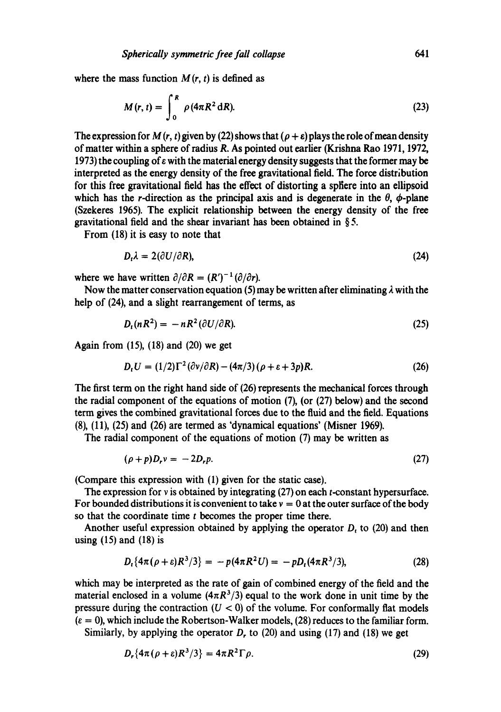where the mass function  $M(r, t)$  is defined as

$$
M(r,t) = \int_0^R \rho(4\pi R^2 dR). \tag{23}
$$

The expression for M  $(r, t)$  given by (22) shows that  $(\rho + \varepsilon)$  plays the role of mean density of matter within a sphere of radius R. As pointed out earlier (Krishna Rao 1971, 1972, 1973) the coupling of  $\varepsilon$  with the material energy density suggests that the former may be interpreted as the energy density of the free gravitational field. The force distribution for this free gravitational field has the effect of distorting a spliere into an ellipsoid which has the r-direction as the principal axis and is degenerate in the  $\theta$ ,  $\phi$ -plane (Szekeres 1965). The explicit relationship between the energy density of the free gravitational field and the shear invariant has been obtained in § 5.

From (18) it is easy to note that

$$
D_t \lambda = 2(\partial U/\partial R), \tag{24}
$$

where we have written  $\partial/\partial R = (R')^{-1}(\partial/\partial r)$ .

Now the matter conservation equation (5) may be written after eliminating  $\lambda$  with the help of (24), and a slight rearrangement of terms, as

$$
D_t(nR^2) = -nR^2(\partial U/\partial R). \tag{25}
$$

Again from (15), (18) and (20) we get

$$
D_t U = (1/2)\Gamma^2 (\partial v/\partial R) - (4\pi/3) (\rho + \varepsilon + 3p)R. \tag{26}
$$

The first term on the right hand side of (26) represents the mechanical forces through the radial component of the equations of motion (7), (or (27) below) and the second term gives the combined gravitational forces due to the fluid and the field. Equations (8), (11), (25)and (26)are termed as 'dynamical equations' (Misner 1969).

The radial component of the equations of motion (7) may be written as

$$
(\rho + p)D_r v = -2D_r p. \tag{27}
$$

(Compare this expression with (1) given for the static ease).

The expression for v is obtained by integrating (27) on each *t*-constant hypersurface. For bounded distributions it is convenient to take  $v = 0$  at the outer surface of the body so that the coordinate time  $t$  becomes the proper time there.

Another useful expression obtained by applying the operator  $D_t$  to (20) and then using  $(15)$  and  $(18)$  is

$$
D_t\{4\pi(\rho+\varepsilon)R^3/3\} = -p(4\pi R^2 U) = -pD_t(4\pi R^3/3),\tag{28}
$$

which may be interpreted as the rate of gain of combined energy of the field and the material enclosed in a volume  $(4\pi R^3/3)$  equal to the work done in unit time by the pressure during the contraction  $(U < 0)$  of the volume. For conformally flat models  $(\epsilon = 0)$ , which include the Robertson-Walker models, (28) reduces to the familiar form.

Similarly, by applying the operator  $D<sub>r</sub>$  to (20) and using (17) and (18) we get

$$
D_r\{4\pi(\rho+\varepsilon)R^3/3\}=4\pi R^2\Gamma\rho.\tag{29}
$$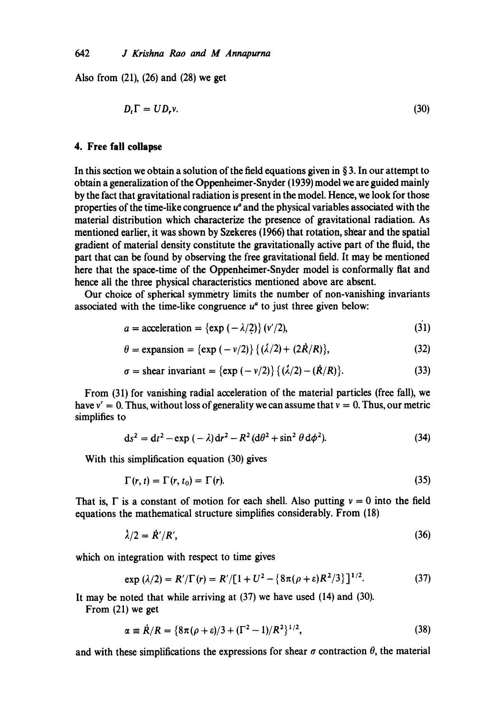Also from (21), (26) and (28) we get

$$
D_t \Gamma = U D_r v. \tag{30}
$$

## **4. Free fall collapse**

In this section we obtain a solution of the field equations given in  $\S 3$ . In our attempt to obtain a generalization of the Oppenheimer-Snyder (1939) model we are guided mainly by the fact that gravitational radiation is present in the model. Hence, we look for those properties of the time-like congruence  $u^a$  and the physical variables associated with the material distribution which characterize the presence of gravitational radiation. As mentioned earlier, it was shown by Szekeres (1966) that rotation, shear and the spatial gradient of material density constitute the gravitationally active part of the fluid, the part that can be found by observing the free gravitational field. It may be mentioned here that the space-time of the Oppenheimer-Snyder model is conformally flat and hence all the three physical characteristics mentioned above are absent.

Our choice of spherical symmetry limits the number of non-vanishing invariants associated with the time-like congruence  $u^a$  to just three given below:

$$
a = \text{acceleration} = \{\exp(-\lambda/2)\} \, (v'/2),\tag{31}
$$

$$
\theta = \text{expansion} = \{\exp(-v/2)\} \{(\lambda/2) + (2\dot{R}/R)\},\tag{32}
$$

$$
\sigma = \text{shear invariant} = \left\{ \exp\left( -\frac{v}{2} \right) \right\} \left\{ \left( \frac{\lambda}{2} \right) - \left( \frac{\dot{R}}{R} \right) \right\}. \tag{33}
$$

From (31) for vanishing radial acceleration of the material particles (free fall), we have  $v' = 0$ . Thus, without loss of generality we can assume that  $v = 0$ . Thus, our metric simplifies to

$$
ds2 = dt2 - exp(-\lambda)dr2 - R2(d\theta2 + sin2 \theta d\phi2).
$$
 (34)

With this simplification equation (30) gives

$$
\Gamma(r,t) = \Gamma(r,t_0) = \Gamma(r). \tag{35}
$$

That is,  $\Gamma$  is a constant of motion for each shell. Also putting  $v = 0$  into the field equations the mathematical structure simplifies considerably. From (18)

$$
\lambda/2 = \dot{R}'/R',\tag{36}
$$

which on integration with respect to time gives

$$
\exp\left(\lambda/2\right) = R'/\Gamma(r) = R'/[1 + U^2 - \left\{8\pi(\rho + \varepsilon)R^2/3\right\}]^{1/2}.
$$
 (37)

It may be noted that while arriving at (37) we have used (14) and (30).

From (21) we get

$$
\alpha = \dot{R}/R = \left\{8\pi(\rho + \varepsilon)/3 + (\Gamma^2 - 1)/R^2\right\}^{1/2},\tag{38}
$$

and with these simplifications the expressions for shear  $\sigma$  contraction  $\theta$ , the material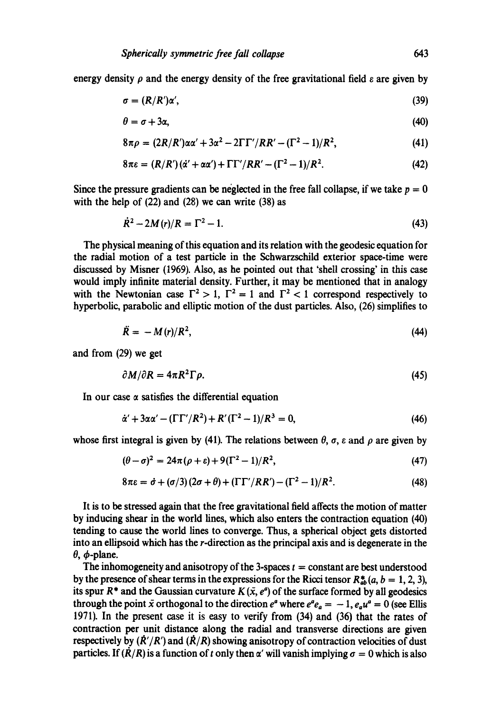energy density  $\rho$  and the energy density of the free gravitational field  $\varepsilon$  are given by

$$
\sigma = (R/R')\alpha',\tag{39}
$$

$$
\theta = \sigma + 3\alpha, \tag{40}
$$

$$
8\pi\rho = (2R/R')\alpha\alpha' + 3\alpha^2 - 2\Gamma\Gamma'/RR' - (\Gamma^2 - 1)/R^2,
$$
 (41)

$$
8\pi\varepsilon = (R/R')(\dot{\alpha}' + \alpha\alpha') + \Gamma\Gamma'/RR' - (\Gamma^2 - 1)/R^2.
$$
 (42)

Since the pressure gradients can be neglected in the free fall collapse, if we take  $p = 0$ with the help of  $(22)$  and  $(28)$  we can write  $(38)$  as

$$
\dot{R}^2 - 2M(r)/R = \Gamma^2 - 1.
$$
 (43)

The physical meaning of this equation and its relation with the geodesic equation for the radial motion of a test particle in the Schwarzsehild exterior space-time were discussed by Misner (1969). Also, as he pointed out that 'shell crossing' in this case would imply infinite material density. Further, it may be mentioned that in analogy with the Newtonian case  $\Gamma^2 > 1$ ,  $\Gamma^2 = 1$  and  $\Gamma^2 < 1$  correspond respectively to hyperbolic, parabolic and elliptic motion of the dust particles. Also, (26) simplifies to

$$
\ddot{R} = -M(r)/R^2,\tag{44}
$$

and from (29) we get

$$
\partial M/\partial R = 4\pi R^2 \Gamma \rho. \tag{45}
$$

In our case  $\alpha$  satisfies the differential equation

$$
\dot{\alpha}' + 3\alpha\alpha' - (\Gamma\Gamma'/R^2) + R'(\Gamma^2 - 1)/R^3 = 0, \tag{46}
$$

whose first integral is given by (41). The relations between  $\theta$ ,  $\sigma$ ,  $\varepsilon$  and  $\rho$  are given by

$$
(\theta - \sigma)^2 = 24\pi (\rho + \varepsilon) + 9(\Gamma^2 - 1)/R^2,
$$
\n(47)

$$
8\pi\varepsilon = \dot{\sigma} + (\sigma/3)(2\sigma + \theta) + (\Gamma\Gamma'/RR') - (\Gamma^2 - 1)/R^2.
$$
 (48)

It is to be stressed again that the free gravitational field affects the motion of matter by inducing shear in the world lines, which also enters the contraction equation (40) tending to cause the world lines to converge. Thus, a spherical object gets distorted into an ellipsoid which has the r-direction as the principal axis and is degenerate in the  $\theta$ ,  $\phi$ -plane.

The inhomogeneity and anisotropy of the 3-spaces  $t = constant$  are best understood by the presence of shear terms in the expressions for the Ricci tensor  $R_{ab}^*(a, b = 1, 2, 3)$ , its spur  $R^*$  and the Gaussian curvature  $K(\bar{x}, e^a)$  of the surface formed by all geodesics through the point  $\bar{x}$  orthogonal to the direction  $e^a$  where  $e^a e_a = -1$ ,  $e_a u^a = 0$  (see Ellis 1971). In the present ease it is easy to verify from (34) and (36) that the rates of contraction per unit distance along the radial and transverse directions are given respectively by  $(\dot{R}'/R')$  and  $(\dot{R}/R)$  showing anisotropy of contraction velocities of dust particles. If  $(\dot{R}/R)$  is a function of t only then  $\alpha'$  will vanish implying  $\sigma = 0$  which is also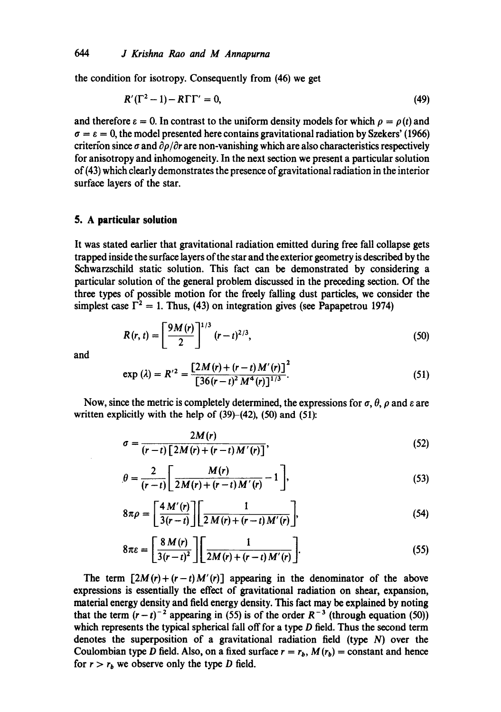the condition for isotropy. Consequently from (46) we get

$$
R'(\Gamma^2 - 1) - R\Gamma\Gamma' = 0,\tag{49}
$$

and therefore  $\varepsilon = 0$ . In contrast to the uniform density models for which  $\rho = \rho(t)$  and  $\sigma = \varepsilon = 0$ , the model presented here contains gravitational radiation by Szekers' (1966) criterion since  $\sigma$  and  $\partial \rho / \partial r$  are non-vanishing which are also characteristics respectively for anisotropy and inhomogeneity. In the next section we present a particular solution of (43) which deafly demonstrates the presence of gravitational radiation in the interior surface layers of the star.

# **5. A particular solution**

It was stated earlier that gravitational radiation emitted during free fall collapse gets trapped inside the surface layers of the star and the exterior geometry is described by the Schwarzschild static solution. This fact can be demonstrated by considering a particular solution of the general problem discussed in the preceding section. Of the three types of possible motion for the freely falling dust particles, we consider the simplest case  $\Gamma^2 = 1$ . Thus, (43) on integration gives (see Papapetrou 1974)

$$
R(r,t) = \left[\frac{9M(r)}{2}\right]^{1/3} (r-t)^{2/3},\tag{50}
$$

and

$$
\exp\left(\lambda\right) = R'^2 = \frac{\left[2M(r) + (r-t)M'(r)\right]^2}{\left[36(r-t)^2 M^4(r)\right]^{1/3}}.\tag{51}
$$

Now, since the metric is completely determined, the expressions for  $\sigma$ ,  $\theta$ ,  $\rho$  and  $\varepsilon$  are written explicitly with the help of  $(39)$ – $(42)$ ,  $(50)$  and  $(51)$ :

$$
\sigma = \frac{2M(r)}{(r-t)\left[2M(r)+(r-t)M'(r)\right]},
$$
\n(52)

$$
\theta = \frac{2}{(r-t)} \left[ \frac{M(r)}{2M(r) + (r-t)M'(r)} - 1 \right],
$$
\n(53)

$$
8\pi\rho = \left[\frac{4 M'(r)}{3(r-t)}\right] \left[\frac{1}{2 M(r) + (r-t) M'(r)}\right],\tag{54}
$$

$$
8\pi\varepsilon = \left[\frac{8 M(r)}{3(r-t)^2}\right] \left[\frac{1}{2M(r)+(r-t)M'(r)}\right].
$$
\n(55)

The term  $[2M(r)+(r-t)M'(r)]$  appearing in the denominator of the above expressions is essentially the effect of gravitational radiation on shear, expansion, material energy density and field energy density. This fact may be explained by noting that the term  $(r-t)^{-2}$  appearing in (55) is of the order  $R^{-3}$  (through equation (50)) which represents the typical spherical fall off for a type D field. Thus the second term denotes the superposition of a gravitational radiation field (type N) over the Coulombian type D field. Also, on a fixed surface  $r = r_b$ ,  $M(r_b) =$  constant and hence for  $r > r_b$  we observe only the type D field.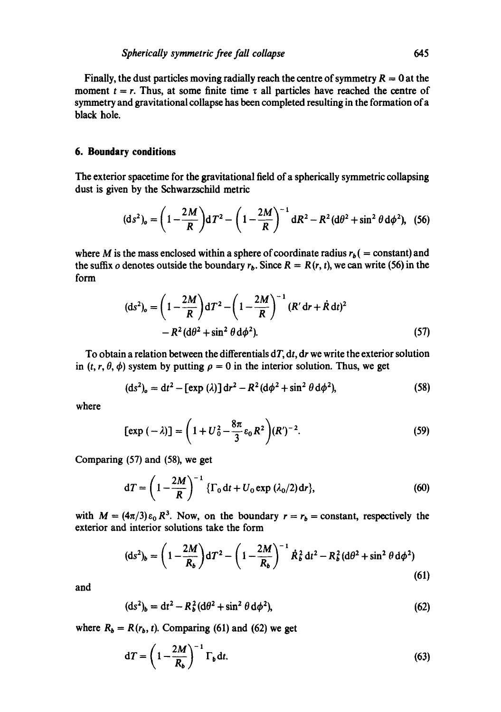Finally, the dust particles moving radially reach the centre of symmetry  $R = 0$  at the moment  $t = r$ . Thus, at some finite time  $\tau$  all particles have reached the centre of symmetry and gravitational collapse has been completed resulting in the formation of a black hole.

### **6. Boundary conditions**

The exterior spacetime for the gravitational field of a spherically symmetric collapsing dust is given by the Schwarzschild metric

$$
(\mathrm{d}s^2)_o = \left(1 - \frac{2M}{R}\right) \mathrm{d}T^2 - \left(1 - \frac{2M}{R}\right)^{-1} \mathrm{d}R^2 - R^2 (\mathrm{d}\theta^2 + \sin^2\theta \,\mathrm{d}\phi^2), \tag{56}
$$

where M is the mass enclosed within a sphere of coordinate radius  $r_b$  ( = constant) and the suffix o denotes outside the boundary  $r_b$ . Since  $R = R(r, t)$ , we can write (56) in the form

$$
(ds2)o = \left(1 - \frac{2M}{R}\right)dT2 - \left(1 - \frac{2M}{R}\right)^{-1}(R'dr + \dot{R}dt)2
$$
  
- R<sup>2</sup>(d $\theta$ <sup>2</sup> + sin<sup>2</sup>  $\theta$  d $\phi$ <sup>2</sup>). (57)

To obtain a relation between the differentials *dT, dt, dr* we write the exterior solution in  $(t, r, \theta, \phi)$  system by putting  $\rho = 0$  in the interior solution. Thus, we get

$$
(\text{d}s^2)_o = \text{d}t^2 - [\exp(\lambda)]\,\text{d}r^2 - R^2(\text{d}\phi^2 + \sin^2\theta\,\text{d}\phi^2),\tag{58}
$$

where

$$
[\exp(-\lambda)] = \left(1 + U_0^2 - \frac{8\pi}{3} \varepsilon_0 R^2\right) (R')^{-2}.
$$
 (59)

Comparing (57) and (58), we get

$$
dT = \left(1 - \frac{2M}{R}\right)^{-1} \left\{\Gamma_0 dt + U_0 \exp{(\lambda_0/2)} dr\right\},\tag{60}
$$

with  $M = (4\pi/3)\epsilon_0 R^3$ . Now, on the boundary  $r = r_b =$  constant, respectively the exterior and interior solutions take the form

$$
(\text{d}s^2)_b = \left(1 - \frac{2M}{R_b}\right) \text{d}T^2 - \left(1 - \frac{2M}{R_b}\right)^{-1} \dot{R}_b^2 \, \text{d}t^2 - R_b^2 \, (\text{d}\theta^2 + \sin^2\theta \, \text{d}\phi^2) \tag{61}
$$

and

$$
({ds}^2)_b = dt^2 - R_b^2 (d\theta^2 + \sin^2 \theta \, d\phi^2), \tag{62}
$$

where  $R_b = R(r_b, t)$ . Comparing (61) and (62) we get

$$
dT = \left(1 - \frac{2M}{R_b}\right)^{-1} \Gamma_b dt. \tag{63}
$$